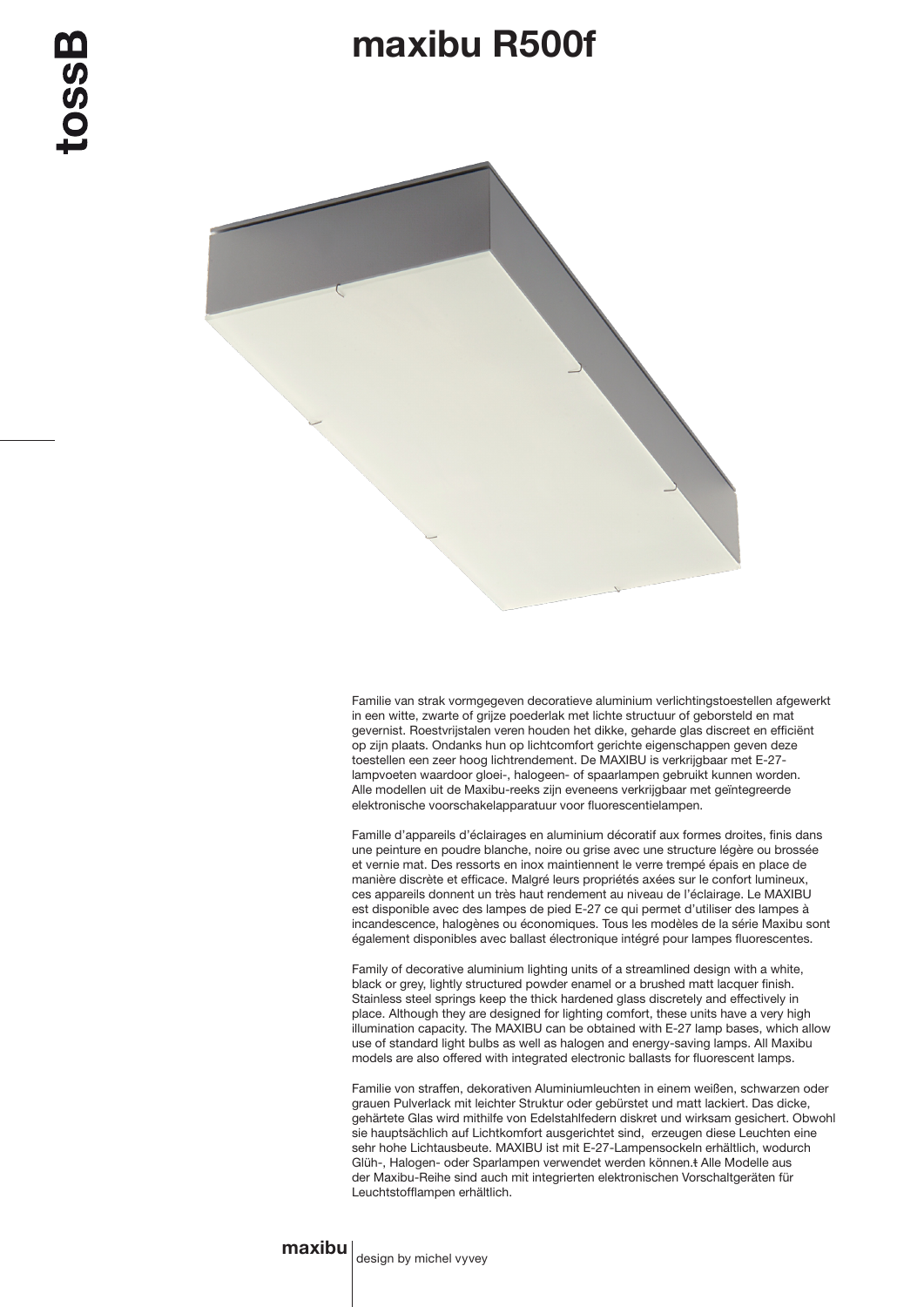## maxibu R500f



Familie van strak vormgegeven decoratieve aluminium verlichtingstoestellen afgewerkt in een witte, zwarte of grijze poederlak met lichte structuur of geborsteld en mat gevernist. Roestvrijstalen veren houden het dikke, geharde glas discreet en efficiënt op zijn plaats. Ondanks hun op lichtcomfort gerichte eigenschappen geven deze toestellen een zeer hoog lichtrendement. De MAXIBU is verkrijgbaar met E-27 lampvoeten waardoor gloei-, halogeen- of spaarlampen gebruikt kunnen worden. Alle modellen uit de Maxibu-reeks zijn eveneens verkrijgbaar met geïntegreerde elektronische voorschakelapparatuur voor fluorescentielampen.

Famille d'appareils d'éclairages en aluminium décoratif aux formes droites, finis dans une peinture en poudre blanche, noire ou grise avec une structure légère ou brossée et vernie mat. Des ressorts en inox maintiennent le verre trempé épais en place de manière discrète et efficace. Malgré leurs propriétés axées sur le confort lumineux, ces appareils donnent un très haut rendement au niveau de l'éclairage. Le MAXIBU est disponible avec des lampes de pied E-27 ce qui permet d'utiliser des lampes à incandescence, halogènes ou économiques. Tous les modèles de la série Maxibu sont également disponibles avec ballast électronique intégré pour lampes fluorescentes.

Family of decorative aluminium lighting units of a streamlined design with a white, black or grey, lightly structured powder enamel or a brushed matt lacquer finish. Stainless steel springs keep the thick hardened glass discretely and effectively in place. Although they are designed for lighting comfort, these units have a very high illumination capacity. The MAXIBU can be obtained with E-27 lamp bases, which allow use of standard light bulbs as well as halogen and energy-saving lamps. All Maxibu models are also offered with integrated electronic ballasts for fluorescent lamps.

Familie von straffen, dekorativen Aluminiumleuchten in einem weißen, schwarzen oder grauen Pulverlack mit leichter Struktur oder gebürstet und matt lackiert. Das dicke, gehärtete Glas wird mithilfe von Edelstahlfedern diskret und wirksam gesichert. Obwohl sie hauptsächlich auf Lichtkomfort ausgerichtet sind, erzeugen diese Leuchten eine sehr hohe Lichtausbeute. MAXIBU ist mit E-27-Lampensockeln erhältlich, wodurch Glüh-, Halogen- oder Sparlampen verwendet werden können.t Alle Modelle aus der Maxibu-Reihe sind auch mit integrierten elektronischen Vorschaltgeräten für Leuchtstofflampen erhältlich.